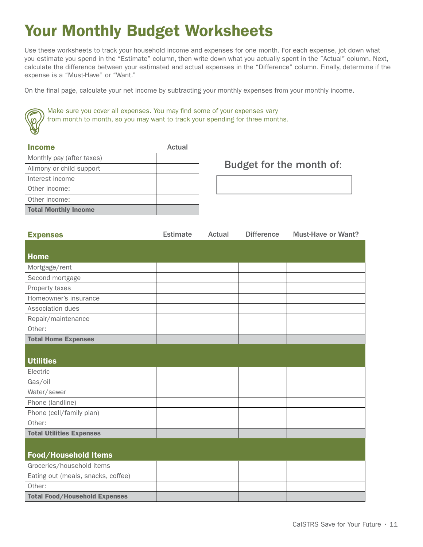## Your Monthly Budget Worksheets

Use these worksheets to track your household income and expenses for one month. For each expense, jot down what you estimate you spend in the "Estimate" column, then write down what you actually spent in the "Actual" column. Next, calculate the difference between your estimated and actual expenses in the "Difference" column. Finally, determine if the expense is a "Must-Have" or "Want."

On the final page, calculate your net income by subtracting your monthly expenses from your monthly income.



Make sure you cover all expenses. You may find some of your expenses vary from month to month, so you may want to track your spending for three months.

| <b>Income</b>               | Actual |
|-----------------------------|--------|
| Monthly pay (after taxes)   |        |
| Alimony or child support    |        |
| Interest income             |        |
| Other income:               |        |
| Other income:               |        |
| <b>Total Monthly Income</b> |        |

Budget for the month of:

| <b>Expenses</b>                      | <b>Estimate</b> | <b>Actual</b> | <b>Difference</b> | <b>Must-Have or Want?</b> |
|--------------------------------------|-----------------|---------------|-------------------|---------------------------|
|                                      |                 |               |                   |                           |
| <b>Home</b>                          |                 |               |                   |                           |
| Mortgage/rent                        |                 |               |                   |                           |
| Second mortgage                      |                 |               |                   |                           |
| Property taxes                       |                 |               |                   |                           |
| Homeowner's insurance                |                 |               |                   |                           |
| Association dues                     |                 |               |                   |                           |
| Repair/maintenance                   |                 |               |                   |                           |
| Other:                               |                 |               |                   |                           |
| <b>Total Home Expenses</b>           |                 |               |                   |                           |
|                                      |                 |               |                   |                           |
| <b>Utilities</b>                     |                 |               |                   |                           |
| Electric                             |                 |               |                   |                           |
| Gas/oil                              |                 |               |                   |                           |
| Water/sewer                          |                 |               |                   |                           |
| Phone (landline)                     |                 |               |                   |                           |
| Phone (cell/family plan)             |                 |               |                   |                           |
| Other:                               |                 |               |                   |                           |
| <b>Total Utilities Expenses</b>      |                 |               |                   |                           |
|                                      |                 |               |                   |                           |
| Food/Household Items                 |                 |               |                   |                           |
| Groceries/household items            |                 |               |                   |                           |
| Eating out (meals, snacks, coffee)   |                 |               |                   |                           |
| Other:                               |                 |               |                   |                           |
| <b>Total Food/Household Expenses</b> |                 |               |                   |                           |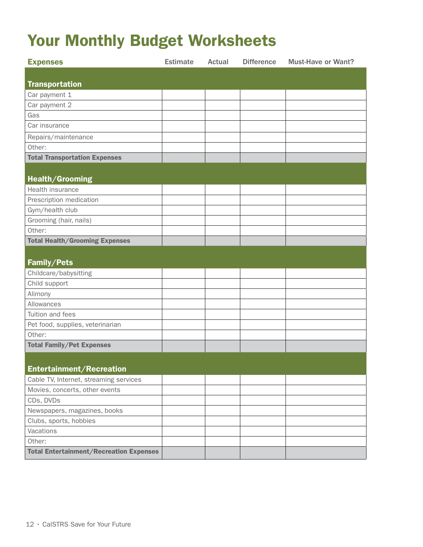## Your Monthly Budget Worksheets

| <b>Expenses</b>                                | <b>Estimate</b> | Actual | <b>Difference</b> | <b>Must-Have or Want?</b> |
|------------------------------------------------|-----------------|--------|-------------------|---------------------------|
|                                                |                 |        |                   |                           |
| <b>Transportation</b>                          |                 |        |                   |                           |
| Car payment 1                                  |                 |        |                   |                           |
| Car payment 2                                  |                 |        |                   |                           |
| Gas                                            |                 |        |                   |                           |
| Car insurance                                  |                 |        |                   |                           |
| Repairs/maintenance                            |                 |        |                   |                           |
| Other:                                         |                 |        |                   |                           |
| <b>Total Transportation Expenses</b>           |                 |        |                   |                           |
|                                                |                 |        |                   |                           |
| Health/Grooming                                |                 |        |                   |                           |
| Health insurance                               |                 |        |                   |                           |
| Prescription medication                        |                 |        |                   |                           |
| Gym/health club                                |                 |        |                   |                           |
| Grooming (hair, nails)                         |                 |        |                   |                           |
| Other:                                         |                 |        |                   |                           |
| <b>Total Health/Grooming Expenses</b>          |                 |        |                   |                           |
|                                                |                 |        |                   |                           |
| Family/Pets                                    |                 |        |                   |                           |
| Childcare/babysitting                          |                 |        |                   |                           |
| Child support                                  |                 |        |                   |                           |
| Alimony                                        |                 |        |                   |                           |
| Allowances                                     |                 |        |                   |                           |
| Tuition and fees                               |                 |        |                   |                           |
| Pet food, supplies, veterinarian               |                 |        |                   |                           |
| Other:                                         |                 |        |                   |                           |
| <b>Total Family/Pet Expenses</b>               |                 |        |                   |                           |
|                                                |                 |        |                   |                           |
| <b>Entertainment/Recreation</b>                |                 |        |                   |                           |
| Cable TV, Internet, streaming services         |                 |        |                   |                           |
| Movies, concerts, other events                 |                 |        |                   |                           |
| CDs, DVDs                                      |                 |        |                   |                           |
| Newspapers, magazines, books                   |                 |        |                   |                           |
| Clubs, sports, hobbies                         |                 |        |                   |                           |
| Vacations                                      |                 |        |                   |                           |
| Other:                                         |                 |        |                   |                           |
| <b>Total Entertainment/Recreation Expenses</b> |                 |        |                   |                           |